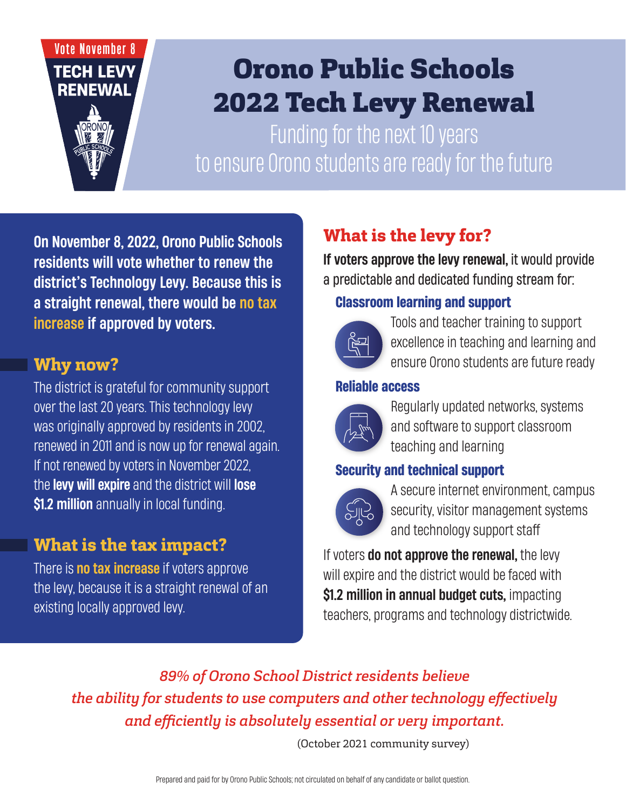# **Vote November 8 TECH LEVY RENEWAL**

# Orono Public Schools 2022 Tech Levy Renewal

Funding for the next 10 years to ensure Orono students are ready for the future

On November 8, 2022, Orono Public Schools residents will vote whether to renew the district's Technology Levy. Because this is a straight renewal, there would be no tax increase if approved by voters.

#### **Why now?**

The district is grateful for community support over the last 20 years. This technology levy was originally approved by residents in 2002, renewed in 2011 and is now up for renewal again. If not renewed by voters in November 2022, the levy will expire and the district will lose \$1.2 million annually in local funding.

### **What is the tax impact?**

There is **no tax increase** if voters approve the levy, because it is a straight renewal of an existing locally approved levy.

# **What is the levy for?**

If voters approve the levy renewal, it would provide a predictable and dedicated funding stream for:

#### **Classroom learning and support**



Tools and teacher training to support excellence in teaching and learning and ensure Orono students are future ready Bucket 1 - Classroom learning and support

#### **Reliable access**



Regularly updated networks, systems and software to support classroom teaching and learning  $\mathbf{B}$ ucket 1 - Classroom learning and support and support  $\mathbf{C}$ 

# **Security and technical support**



A secure internet environment, campus security, visitor management systems and technology support staff

If voters do not approve the renewal, the levy will expire and the district would be faced with \$1.2 million in annual budget cuts, impacting teachers, programs and technology districtwide.

*89% of Orono School District residents believe the ability for students to use computers and other technology effectively and efficiently is absolutely essential or very important.* 

(October 2021 community survey)